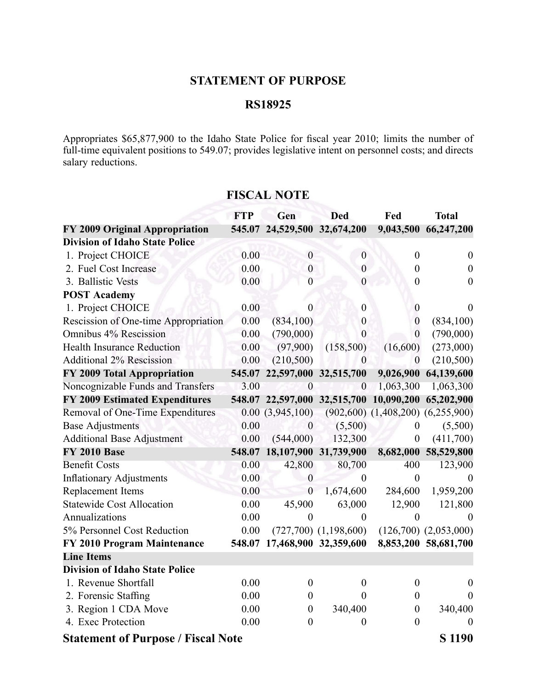## **STATEMENT OF PURPOSE**

## **RS18925**

Appropriates \$65,877,900 to the Idaho State Police for fiscal year 2010; limits the number of full-time equivalent positions to 549.07; provides legislative intent on personnel costs; and directs salary reductions.

|                                                     | <b>FTP</b> | Gen                          | <b>Ded</b>                | Fed                                     | <b>Total</b>              |  |
|-----------------------------------------------------|------------|------------------------------|---------------------------|-----------------------------------------|---------------------------|--|
| FY 2009 Original Appropriation                      |            | 545.07 24,529,500 32,674,200 |                           | 9,043,500                               | 66,247,200                |  |
| <b>Division of Idaho State Police</b>               |            |                              |                           |                                         |                           |  |
| 1. Project CHOICE                                   | 0.00       | $\boldsymbol{0}$             | $\boldsymbol{0}$          | $\boldsymbol{0}$                        | $\boldsymbol{0}$          |  |
| 2. Fuel Cost Increase                               | 0.00       | $\mathbf{0}$                 | $\boldsymbol{0}$          | $\boldsymbol{0}$                        | $\boldsymbol{0}$          |  |
| 3. Ballistic Vests                                  | 0.00       | $\overline{0}$               | $\overline{0}$            | $\boldsymbol{0}$                        | $\boldsymbol{0}$          |  |
| <b>POST Academy</b>                                 |            |                              |                           |                                         |                           |  |
| 1. Project CHOICE                                   | 0.00       | $\theta$                     | $\boldsymbol{0}$          | $\boldsymbol{0}$                        | $\Omega$                  |  |
| Rescission of One-time Appropriation                | 0.00       | (834, 100)                   | $\boldsymbol{0}$          | $\boldsymbol{0}$                        | (834,100)                 |  |
| Omnibus 4% Rescission                               | 0.00       | (790,000)                    | $\boldsymbol{0}$          | $\mathbf{0}$                            | (790,000)                 |  |
| <b>Health Insurance Reduction</b>                   | 0.00       | (97,900)                     | (158, 500)                | (16,600)                                | (273,000)                 |  |
| <b>Additional 2% Rescission</b>                     | 0.00       | (210, 500)                   | $\boldsymbol{0}$          | $\boldsymbol{0}$                        | (210,500)                 |  |
| FY 2009 Total Appropriation                         | 545.07     | 22,597,000 32,515,700        |                           | 9,026,900                               | 64,139,600                |  |
| Noncognizable Funds and Transfers                   | 3.00       | $\theta$                     | $\boldsymbol{0}$          | 1,063,300                               | 1,063,300                 |  |
| <b>FY 2009 Estimated Expenditures</b>               |            | 548.07 22,597,000 32,515,700 |                           | 10,090,200                              | 65,202,900                |  |
| Removal of One-Time Expenditures                    |            | 0.00(3,945,100)              |                           | $(902,600)$ $(1,408,200)$ $(6,255,900)$ |                           |  |
| <b>Base Adjustments</b>                             | 0.00       | $\overline{0}$               | (5,500)                   | $\theta$                                | (5,500)                   |  |
| <b>Additional Base Adjustment</b>                   | 0.00       | (544,000)                    | 132,300                   | $\boldsymbol{0}$                        | (411,700)                 |  |
| <b>FY 2010 Base</b>                                 | 548.07     | 18,107,900 31,739,900        |                           | 8,682,000                               | 58,529,800                |  |
| <b>Benefit Costs</b>                                | 0.00       | 42,800                       | 80,700                    | 400                                     | 123,900                   |  |
| <b>Inflationary Adjustments</b>                     | 0.00       | $\boldsymbol{0}$             | $\boldsymbol{0}$          | $\overline{0}$                          | $\Omega$                  |  |
| Replacement Items                                   | 0.00       | $\overline{0}$               | 1,674,600                 | 284,600                                 | 1,959,200                 |  |
| <b>Statewide Cost Allocation</b>                    | 0.00       | 45,900                       | 63,000                    | 12,900                                  | 121,800                   |  |
| Annualizations                                      | 0.00       | $\theta$                     | $\overline{0}$            | $\theta$                                | $\Omega$                  |  |
| 5% Personnel Cost Reduction                         | 0.00       |                              | $(727,700)$ $(1,198,600)$ |                                         | $(126,700)$ $(2,053,000)$ |  |
| FY 2010 Program Maintenance                         |            | 548.07 17,468,900 32,359,600 |                           |                                         | 8,853,200 58,681,700      |  |
| <b>Line Items</b>                                   |            |                              |                           |                                         |                           |  |
| <b>Division of Idaho State Police</b>               |            |                              |                           |                                         |                           |  |
| 1. Revenue Shortfall                                | 0.00       | $\boldsymbol{0}$             | $\boldsymbol{0}$          | $\boldsymbol{0}$                        | $\theta$                  |  |
| 2. Forensic Staffing                                | 0.00       | 0                            | $\Omega$                  | $\boldsymbol{0}$                        | $\Omega$                  |  |
| 3. Region 1 CDA Move                                | 0.00       | $\boldsymbol{0}$             | 340,400                   | $\boldsymbol{0}$                        | 340,400                   |  |
| 4. Exec Protection                                  | 0.00       | $\overline{0}$               | $\theta$                  | $\mathbf{0}$                            | $\theta$                  |  |
| S 1190<br><b>Statement of Purpose / Fiscal Note</b> |            |                              |                           |                                         |                           |  |

## **FISCAL NOTE**